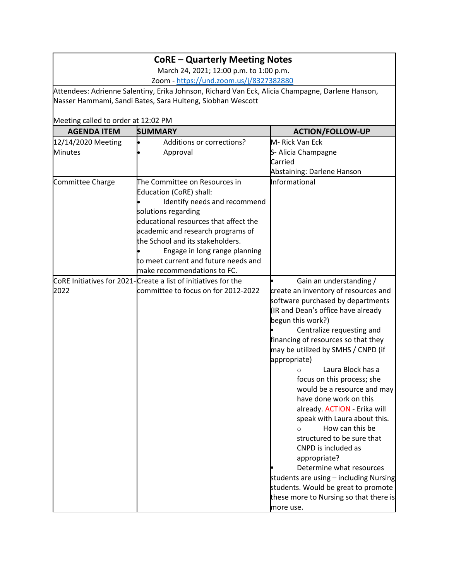## **CoRE – Quarterly Meeting Notes**

March 24, 2021; 12:00 p.m. to 1:00 p.m. Zoom - <https://und.zoom.us/j/8327382880>

Attendees: Adrienne Salentiny, Erika Johnson, Richard Van Eck, Alicia Champagne, Darlene Hanson, Nasser Hammami, Sandi Bates, Sara Hulteng, Siobhan Wescott

Meeting called to order at 12:02 PM

| <b>AGENDA ITEM</b> | <b>SUMMARY</b>                                                 | <b>ACTION/FOLLOW-UP</b>                |
|--------------------|----------------------------------------------------------------|----------------------------------------|
| 12/14/2020 Meeting | Additions or corrections?                                      | M-Rick Van Eck                         |
| <b>Minutes</b>     | Approval                                                       | S- Alicia Champagne                    |
|                    |                                                                | Carried                                |
|                    |                                                                | Abstaining: Darlene Hanson             |
| Committee Charge   | The Committee on Resources in                                  | Informational                          |
|                    | Education (CoRE) shall:                                        |                                        |
|                    | Identify needs and recommend                                   |                                        |
|                    | solutions regarding                                            |                                        |
|                    | educational resources that affect the                          |                                        |
|                    | academic and research programs of                              |                                        |
|                    | the School and its stakeholders.                               |                                        |
|                    | Engage in long range planning                                  |                                        |
|                    | to meet current and future needs and                           |                                        |
|                    | make recommendations to FC.                                    |                                        |
|                    | CoRE Initiatives for 2021-Create a list of initiatives for the | Gain an understanding /                |
| 2022               | committee to focus on for 2012-2022                            | create an inventory of resources and   |
|                    |                                                                | software purchased by departments      |
|                    |                                                                | (IR and Dean's office have already     |
|                    |                                                                | begun this work?)                      |
|                    |                                                                | Centralize requesting and              |
|                    |                                                                | financing of resources so that they    |
|                    |                                                                | may be utilized by SMHS / CNPD (if     |
|                    |                                                                | appropriate)                           |
|                    |                                                                | Laura Block has a<br>$\circ$           |
|                    |                                                                | focus on this process; she             |
|                    |                                                                | would be a resource and may            |
|                    |                                                                | have done work on this                 |
|                    |                                                                | already. ACTION - Erika will           |
|                    |                                                                | speak with Laura about this.           |
|                    |                                                                | How can this be                        |
|                    |                                                                | structured to be sure that             |
|                    |                                                                | CNPD is included as                    |
|                    |                                                                | appropriate?                           |
|                    |                                                                | Determine what resources               |
|                    |                                                                | students are using - including Nursing |
|                    |                                                                | students. Would be great to promote    |
|                    |                                                                | these more to Nursing so that there is |
|                    |                                                                | more use.                              |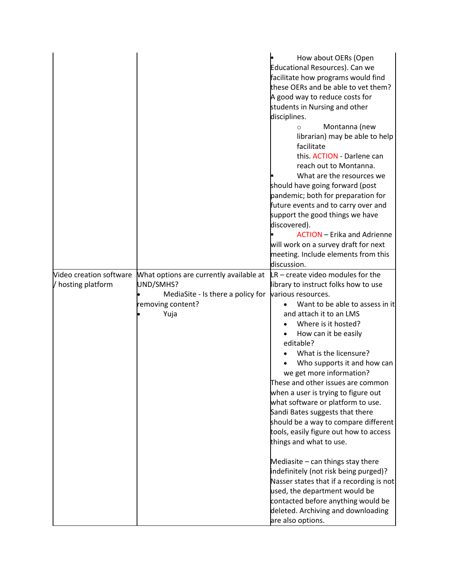|                         |                                         | How about OERs (Open                     |
|-------------------------|-----------------------------------------|------------------------------------------|
|                         |                                         | Educational Resources). Can we           |
|                         |                                         | facilitate how programs would find       |
|                         |                                         | these OERs and be able to vet them?      |
|                         |                                         | A good way to reduce costs for           |
|                         |                                         | students in Nursing and other            |
|                         |                                         | disciplines.                             |
|                         |                                         | Montanna (new<br>$\circ$                 |
|                         |                                         | librarian) may be able to help           |
|                         |                                         | facilitate                               |
|                         |                                         | this. ACTION - Darlene can               |
|                         |                                         | reach out to Montanna.                   |
|                         |                                         | What are the resources we                |
|                         |                                         | should have going forward (post          |
|                         |                                         | pandemic; both for preparation for       |
|                         |                                         | future events and to carry over and      |
|                         |                                         | support the good things we have          |
|                         |                                         | discovered).                             |
|                         |                                         | <b>ACTION</b> – Erika and Adrienne       |
|                         |                                         | will work on a survey draft for next     |
|                         |                                         | meeting. Include elements from this      |
|                         |                                         | discussion.                              |
| Video creation software | What options are currently available at | $ LR -$ create video modules for the     |
| / hosting platform      | UND/SMHS?                               | library to instruct folks how to use     |
|                         | MediaSite - Is there a policy for       | various resources.                       |
|                         | removing content?                       | Want to be able to assess in it          |
|                         | Yuja                                    | and attach it to an LMS                  |
|                         |                                         | Where is it hosted?                      |
|                         |                                         | How can it be easily                     |
|                         |                                         | editable?                                |
|                         |                                         | What is the licensure?                   |
|                         |                                         | Who supports it and how can              |
|                         |                                         | we get more information?                 |
|                         |                                         | These and other issues are common        |
|                         |                                         | when a user is trying to figure out      |
|                         |                                         | what software or platform to use.        |
|                         |                                         | Sandi Bates suggests that there          |
|                         |                                         | should be a way to compare different     |
|                         |                                         | tools, easily figure out how to access   |
|                         |                                         | things and what to use.                  |
|                         |                                         |                                          |
|                         |                                         | Mediasite $-$ can things stay there      |
|                         |                                         | indefinitely (not risk being purged)?    |
|                         |                                         | Nasser states that if a recording is not |
|                         |                                         | used, the department would be            |
|                         |                                         | contacted before anything would be       |
|                         |                                         | deleted. Archiving and downloading       |
|                         |                                         | are also options.                        |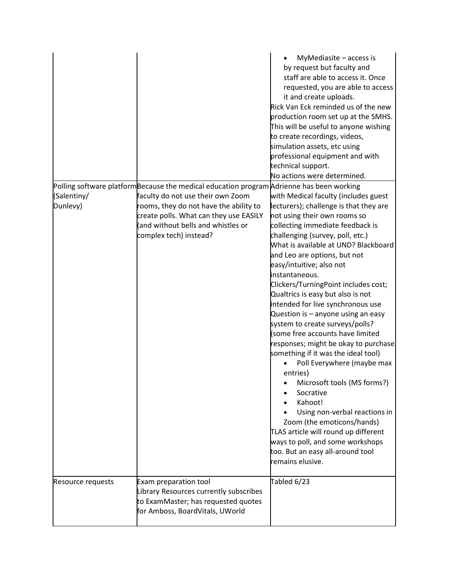|                         |                                                                                                                                                                                       | MyMediasite - access is<br>by request but faculty and<br>staff are able to access it. Once<br>requested, you are able to access<br>it and create uploads.<br>Rick Van Eck reminded us of the new<br>production room set up at the SMHS.<br>This will be useful to anyone wishing<br>to create recordings, videos,<br>simulation assets, etc using<br>professional equipment and with<br>technical support.<br>No actions were determined.                                                                                                                                                                                                                                                                                                                                                                                                                                                                                      |
|-------------------------|---------------------------------------------------------------------------------------------------------------------------------------------------------------------------------------|--------------------------------------------------------------------------------------------------------------------------------------------------------------------------------------------------------------------------------------------------------------------------------------------------------------------------------------------------------------------------------------------------------------------------------------------------------------------------------------------------------------------------------------------------------------------------------------------------------------------------------------------------------------------------------------------------------------------------------------------------------------------------------------------------------------------------------------------------------------------------------------------------------------------------------|
|                         | Polling software platform Because the medical education program Adrienne has been working                                                                                             |                                                                                                                                                                                                                                                                                                                                                                                                                                                                                                                                                                                                                                                                                                                                                                                                                                                                                                                                |
| (Salentiny/<br>Dunlevy) | faculty do not use their own Zoom<br>rooms, they do not have the ability to<br>create polls. What can they use EASILY<br>(and without bells and whistles or<br>complex tech) instead? | with Medical faculty (includes guest<br>lecturers); challenge is that they are<br>not using their own rooms so<br>collecting immediate feedback is<br>challenging (survey, poll, etc.)<br>What is available at UND? Blackboard<br>and Leo are options, but not<br>easy/intuitive; also not<br>instantaneous.<br>Clickers/TurningPoint includes cost;<br>Qualtrics is easy but also is not<br>intended for live synchronous use<br>Question is - anyone using an easy<br>system to create surveys/polls?<br>(some free accounts have limited<br>responses; might be okay to purchase<br>something if it was the ideal tool)<br>Poll Everywhere (maybe max<br>entries)<br>Microsoft tools (MS forms?)<br>Socrative<br>Kahoot!<br>Using non-verbal reactions in<br>Zoom (the emoticons/hands)<br>TLAS article will round up different<br>ways to poll, and some workshops<br>too. But an easy all-around tool<br>remains elusive. |
| Resource requests       | Exam preparation tool<br>Library Resources currently subscribes<br>to ExamMaster; has requested quotes<br>for Amboss, BoardVitals, UWorld                                             | Tabled 6/23                                                                                                                                                                                                                                                                                                                                                                                                                                                                                                                                                                                                                                                                                                                                                                                                                                                                                                                    |